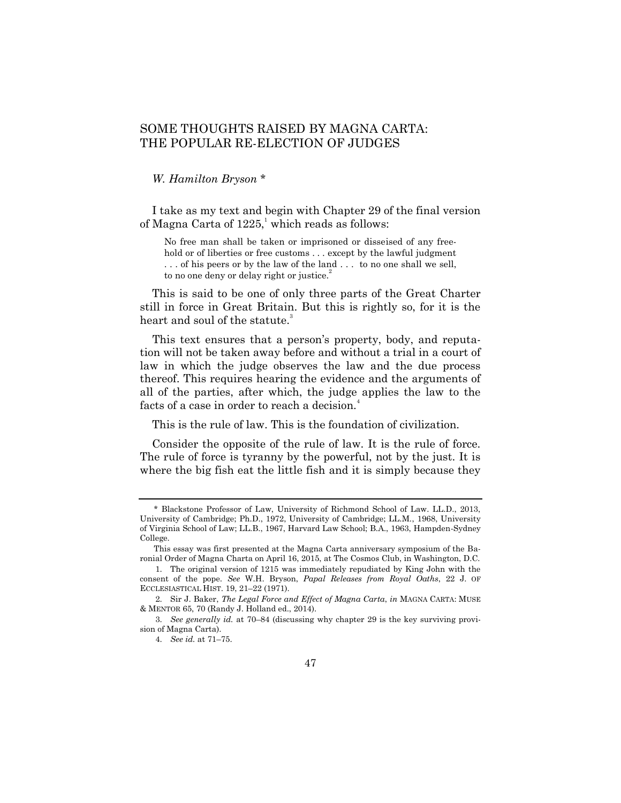## SOME THOUGHTS RAISED BY MAGNA CARTA: THE POPULAR RE-ELECTION OF JUDGES

*W. Hamilton Bryson* \*

I take as my text and begin with Chapter 29 of the final version of Magna Carta of  $1225$ , which reads as follows:

No free man shall be taken or imprisoned or disseised of any freehold or of liberties or free customs . . . except by the lawful judgment . . . of his peers or by the law of the land . . . to no one shall we sell, to no one deny or delay right or justice.<sup>2</sup>

This is said to be one of only three parts of the Great Charter still in force in Great Britain. But this is rightly so, for it is the heart and soul of the statute.<sup>3</sup>

This text ensures that a person's property, body, and reputation will not be taken away before and without a trial in a court of law in which the judge observes the law and the due process thereof. This requires hearing the evidence and the arguments of all of the parties, after which, the judge applies the law to the facts of a case in order to reach a decision.<sup>4</sup>

This is the rule of law. This is the foundation of civilization.

Consider the opposite of the rule of law. It is the rule of force. The rule of force is tyranny by the powerful, not by the just. It is where the big fish eat the little fish and it is simply because they

<sup>\*</sup> Blackstone Professor of Law, University of Richmond School of Law. LL.D., 2013, University of Cambridge; Ph.D., 1972, University of Cambridge; LL.M., 1968, University of Virginia School of Law; LL.B., 1967, Harvard Law School; B.A., 1963, Hampden-Sydney College.

This essay was first presented at the Magna Carta anniversary symposium of the Baronial Order of Magna Charta on April 16, 2015, at The Cosmos Club, in Washington, D.C.

<sup>1.</sup> The original version of 1215 was immediately repudiated by King John with the consent of the pope. *See* W.H. Bryson, *Papal Releases from Royal Oaths*, 22 J. OF ECCLESIASTICAL HIST. 19, 21–22 (1971).

<sup>2.</sup> Sir J. Baker, *The Legal Force and Effect of Magna Carta*, *in* MAGNA CARTA: MUSE & MENTOR 65, 70 (Randy J. Holland ed., 2014).

<sup>3.</sup> *See generally id.* at 70–84 (discussing why chapter 29 is the key surviving provision of Magna Carta).

<sup>4.</sup> *See id.* at 71–75.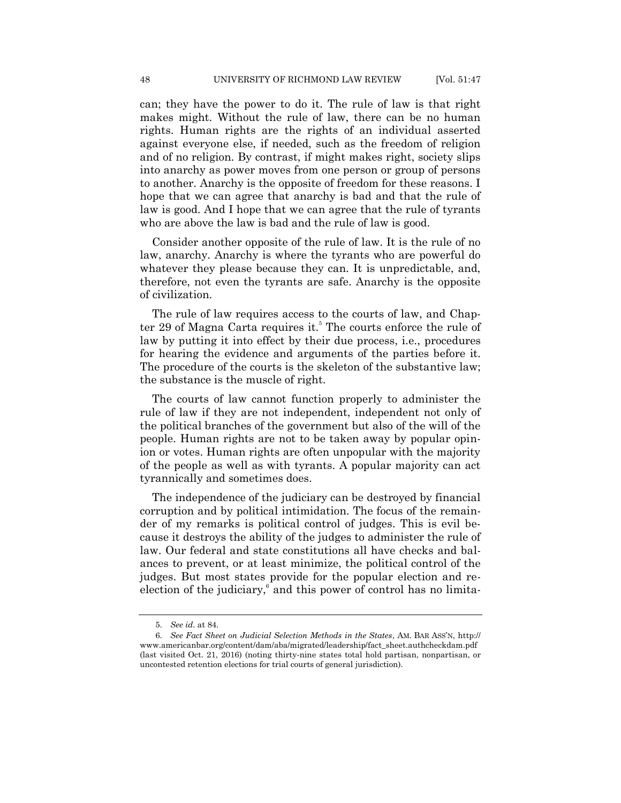can; they have the power to do it. The rule of law is that right makes might. Without the rule of law, there can be no human rights. Human rights are the rights of an individual asserted against everyone else, if needed, such as the freedom of religion and of no religion. By contrast, if might makes right, society slips into anarchy as power moves from one person or group of persons to another. Anarchy is the opposite of freedom for these reasons. I hope that we can agree that anarchy is bad and that the rule of law is good. And I hope that we can agree that the rule of tyrants who are above the law is bad and the rule of law is good.

Consider another opposite of the rule of law. It is the rule of no law, anarchy. Anarchy is where the tyrants who are powerful do whatever they please because they can. It is unpredictable, and, therefore, not even the tyrants are safe. Anarchy is the opposite of civilization.

The rule of law requires access to the courts of law, and Chapter 29 of Magna Carta requires it.<sup>5</sup> The courts enforce the rule of law by putting it into effect by their due process, i.e., procedures for hearing the evidence and arguments of the parties before it. The procedure of the courts is the skeleton of the substantive law; the substance is the muscle of right.

The courts of law cannot function properly to administer the rule of law if they are not independent, independent not only of the political branches of the government but also of the will of the people. Human rights are not to be taken away by popular opinion or votes. Human rights are often unpopular with the majority of the people as well as with tyrants. A popular majority can act tyrannically and sometimes does.

The independence of the judiciary can be destroyed by financial corruption and by political intimidation. The focus of the remainder of my remarks is political control of judges. This is evil because it destroys the ability of the judges to administer the rule of law. Our federal and state constitutions all have checks and balances to prevent, or at least minimize, the political control of the judges. But most states provide for the popular election and reelection of the judiciary,<sup>6</sup> and this power of control has no limita-

<sup>5.</sup> *See id*. at 84.

<sup>6.</sup> *See Fact Sheet on Judicial Selection Methods in the States*, AM. BAR ASS'N, http:// www.americanbar.org/content/dam/aba/migrated/leadership/fact\_sheet.authcheckdam.pdf (last visited Oct. 21, 2016) (noting thirty-nine states total hold partisan, nonpartisan, or uncontested retention elections for trial courts of general jurisdiction).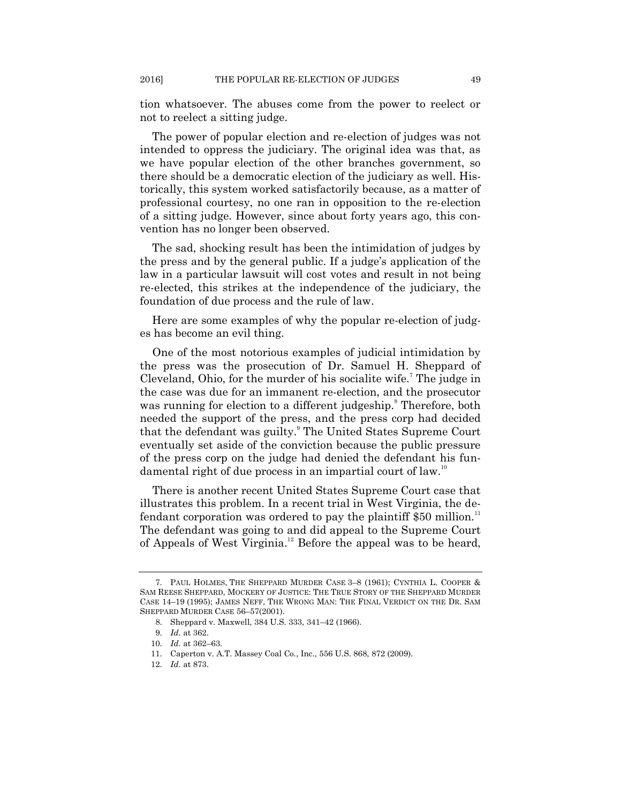tion whatsoever. The abuses come from the power to reelect or not to reelect a sitting judge.

The power of popular election and re-election of judges was not intended to oppress the judiciary. The original idea was that, as we have popular election of the other branches government, so there should be a democratic election of the judiciary as well. Historically, this system worked satisfactorily because, as a matter of professional courtesy, no one ran in opposition to the re-election of a sitting judge. However, since about forty years ago, this convention has no longer been observed.

The sad, shocking result has been the intimidation of judges by the press and by the general public. If a judge's application of the law in a particular lawsuit will cost votes and result in not being re-elected, this strikes at the independence of the judiciary, the foundation of due process and the rule of law.

Here are some examples of why the popular re-election of judges has become an evil thing.

One of the most notorious examples of judicial intimidation by the press was the prosecution of Dr. Samuel H. Sheppard of Cleveland, Ohio, for the murder of his socialite wife.<sup>7</sup> The judge in the case was due for an immanent re-election, and the prosecutor was running for election to a different judgeship.<sup>8</sup> Therefore, both needed the support of the press, and the press corp had decided that the defendant was guilty.<sup>9</sup> The United States Supreme Court eventually set aside of the conviction because the public pressure of the press corp on the judge had denied the defendant his fundamental right of due process in an impartial court of law.<sup>10</sup>

There is another recent United States Supreme Court case that illustrates this problem. In a recent trial in West Virginia, the defendant corporation was ordered to pay the plaintiff \$50 million.<sup>11</sup> The defendant was going to and did appeal to the Supreme Court of Appeals of West Virginia.<sup>12</sup> Before the appeal was to be heard,

<sup>7.</sup> PAUL HOLMES, THE SHEPPARD MURDER CASE 3–8 (1961); CYNTHIA L. COOPER & SAM REESE SHEPPARD, MOCKERY OF JUSTICE: THE TRUE STORY OF THE SHEPPARD MURDER CASE 14–19 (1995); JAMES NEFF, THE WRONG MAN: THE FINAL VERDICT ON THE DR. SAM SHEPPARD MURDER CASE 56–57(2001).

<sup>8.</sup> Sheppard v. Maxwell, 384 U.S. 333, 341–42 (1966).

<sup>9.</sup> *Id*. at 362.

<sup>10.</sup> *Id*. at 362–63.

<sup>11.</sup> Caperton v. A.T. Massey Coal Co., Inc., 556 U.S. 868, 872 (2009).

<sup>12.</sup> *Id*. at 873.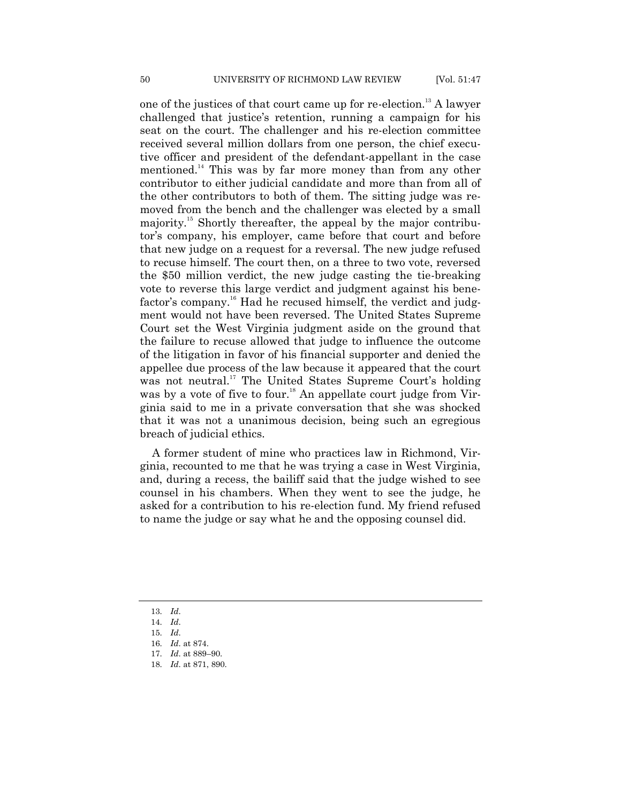one of the justices of that court came up for re-election.<sup>13</sup> A lawyer challenged that justice's retention, running a campaign for his seat on the court. The challenger and his re-election committee received several million dollars from one person, the chief executive officer and president of the defendant-appellant in the case mentioned.<sup>14</sup> This was by far more money than from any other contributor to either judicial candidate and more than from all of the other contributors to both of them. The sitting judge was removed from the bench and the challenger was elected by a small majority.<sup>15</sup> Shortly thereafter, the appeal by the major contributor's company, his employer, came before that court and before that new judge on a request for a reversal. The new judge refused to recuse himself. The court then, on a three to two vote, reversed the \$50 million verdict, the new judge casting the tie-breaking vote to reverse this large verdict and judgment against his benefactor's company.<sup>16</sup> Had he recused himself, the verdict and judgment would not have been reversed. The United States Supreme Court set the West Virginia judgment aside on the ground that the failure to recuse allowed that judge to influence the outcome of the litigation in favor of his financial supporter and denied the appellee due process of the law because it appeared that the court was not neutral.<sup>17</sup> The United States Supreme Court's holding was by a vote of five to four.<sup>18</sup> An appellate court judge from Virginia said to me in a private conversation that she was shocked that it was not a unanimous decision, being such an egregious breach of judicial ethics.

A former student of mine who practices law in Richmond, Virginia, recounted to me that he was trying a case in West Virginia, and, during a recess, the bailiff said that the judge wished to see counsel in his chambers. When they went to see the judge, he asked for a contribution to his re-election fund. My friend refused to name the judge or say what he and the opposing counsel did.

13. *Id*.

<sup>14.</sup> *Id*.

<sup>15.</sup> *Id*.

<sup>16.</sup> *Id*. at 874.

<sup>17.</sup> *Id*. at 889–90.

<sup>18.</sup> *Id*. at 871, 890.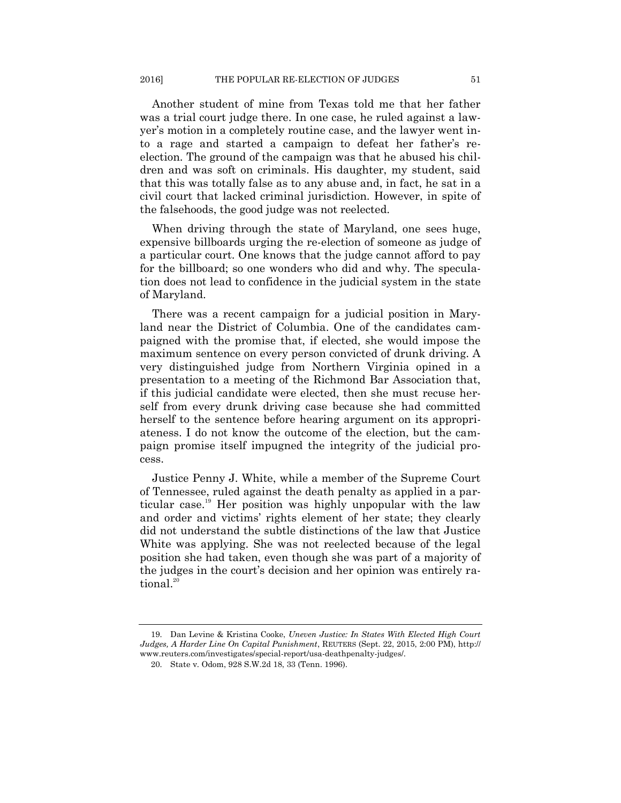Another student of mine from Texas told me that her father was a trial court judge there. In one case, he ruled against a lawyer's motion in a completely routine case, and the lawyer went into a rage and started a campaign to defeat her father's reelection. The ground of the campaign was that he abused his children and was soft on criminals. His daughter, my student, said that this was totally false as to any abuse and, in fact, he sat in a civil court that lacked criminal jurisdiction. However, in spite of the falsehoods, the good judge was not reelected.

When driving through the state of Maryland, one sees huge, expensive billboards urging the re-election of someone as judge of a particular court. One knows that the judge cannot afford to pay for the billboard; so one wonders who did and why. The speculation does not lead to confidence in the judicial system in the state of Maryland.

There was a recent campaign for a judicial position in Maryland near the District of Columbia. One of the candidates campaigned with the promise that, if elected, she would impose the maximum sentence on every person convicted of drunk driving. A very distinguished judge from Northern Virginia opined in a presentation to a meeting of the Richmond Bar Association that, if this judicial candidate were elected, then she must recuse herself from every drunk driving case because she had committed herself to the sentence before hearing argument on its appropriateness. I do not know the outcome of the election, but the campaign promise itself impugned the integrity of the judicial process.

Justice Penny J. White, while a member of the Supreme Court of Tennessee, ruled against the death penalty as applied in a particular case. <sup>19</sup> Her position was highly unpopular with the law and order and victims' rights element of her state; they clearly did not understand the subtle distinctions of the law that Justice White was applying. She was not reelected because of the legal position she had taken, even though she was part of a majority of the judges in the court's decision and her opinion was entirely rational.<sup>20</sup>

<sup>19.</sup> Dan Levine & Kristina Cooke, *Uneven Justice: In States With Elected High Court Judges, A Harder Line On Capital Punishment*, REUTERS (Sept. 22, 2015, 2:00 PM), http:// www.reuters.com/investigates/special-report/usa-deathpenalty-judges/.

<sup>20.</sup> State v. Odom, 928 S.W.2d 18, 33 (Tenn. 1996).